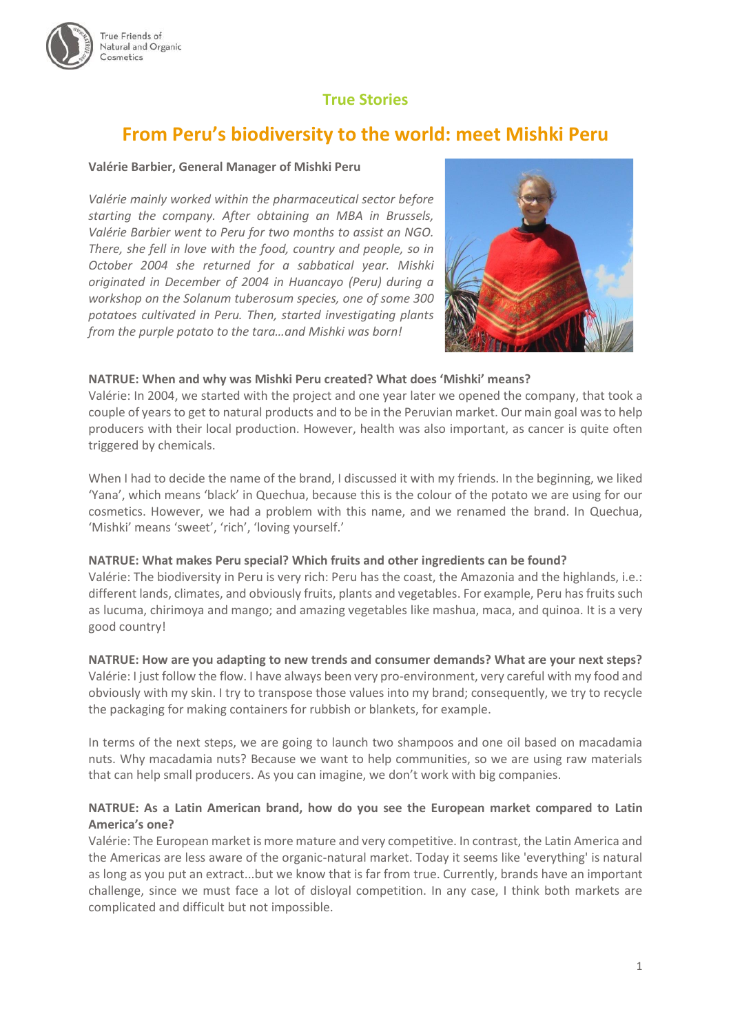

## **True Stories**

# **From Peru's biodiversity to the world: meet Mishki Peru**

#### **Valérie Barbier, General Manager of Mishki Peru**

*Valérie mainly worked within the pharmaceutical sector before starting the company. After obtaining an MBA in Brussels, Valérie Barbier went to Peru for two months to assist an NGO. There, she fell in love with the food, country and people, so in October 2004 she returned for a sabbatical year. Mishki originated in December of 2004 in Huancayo (Peru) during a workshop on the Solanum tuberosum species, one of some 300 potatoes cultivated in Peru. Then, started investigating plants from the purple potato to the tara…and Mishki was born!*



#### **NATRUE: When and why was Mishki Peru created? What does 'Mishki' means?**

Valérie: In 2004, we started with the project and one year later we opened the company, that took a couple of years to get to natural products and to be in the Peruvian market. Our main goal was to help producers with their local production. However, health was also important, as cancer is quite often triggered by chemicals.

When I had to decide the name of the brand, I discussed it with my friends. In the beginning, we liked 'Yana', which means 'black' in Quechua, because this is the colour of the potato we are using for our cosmetics. However, we had a problem with this name, and we renamed the brand. In Quechua, 'Mishki' means 'sweet', 'rich', 'loving yourself.'

#### **NATRUE: What makes Peru special? Which fruits and other ingredients can be found?**

Valérie: The biodiversity in Peru is very rich: Peru has the coast, the Amazonia and the highlands, i.e.: different lands, climates, and obviously fruits, plants and vegetables. For example, Peru has fruits such as lucuma, chirimoya and mango; and amazing vegetables like mashua, maca, and quinoa. It is a very good country!

#### **NATRUE: How are you adapting to new trends and consumer demands? What are your next steps?**

Valérie: I just follow the flow. I have always been very pro-environment, very careful with my food and obviously with my skin. I try to transpose those values into my brand; consequently, we try to recycle the packaging for making containers for rubbish or blankets, for example.

In terms of the next steps, we are going to launch two shampoos and one oil based on macadamia nuts. Why macadamia nuts? Because we want to help communities, so we are using raw materials that can help small producers. As you can imagine, we don't work with big companies.

### **NATRUE: As a Latin American brand, how do you see the European market compared to Latin America's one?**

Valérie: The European market is more mature and very competitive. In contrast, the Latin America and the Americas are less aware of the organic-natural market. Today it seems like 'everything' is natural as long as you put an extract...but we know that is far from true. Currently, brands have an important challenge, since we must face a lot of disloyal competition. In any case, I think both markets are complicated and difficult but not impossible.